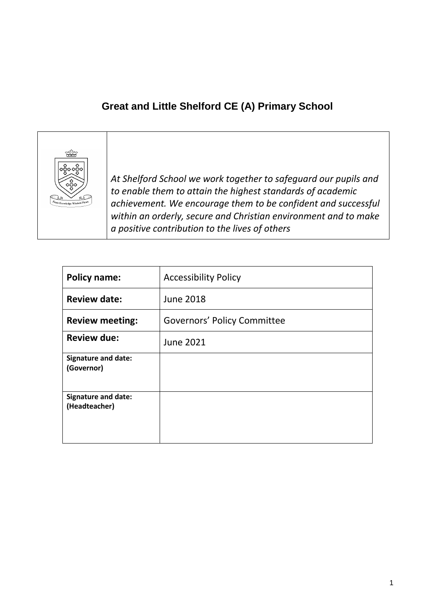# **Great and Little Shelford CE (A) Primary School**



*At Shelford School we work together to safeguard our pupils and to enable them to attain the highest standards of academic achievement. We encourage them to be confident and successful within an orderly, secure and Christian environment and to make a positive contribution to the lives of others*

| <b>Policy name:</b>                         | <b>Accessibility Policy</b>        |
|---------------------------------------------|------------------------------------|
| <b>Review date:</b>                         | <b>June 2018</b>                   |
| <b>Review meeting:</b>                      | <b>Governors' Policy Committee</b> |
| <b>Review due:</b>                          | <b>June 2021</b>                   |
| <b>Signature and date:</b><br>(Governor)    |                                    |
| <b>Signature and date:</b><br>(Headteacher) |                                    |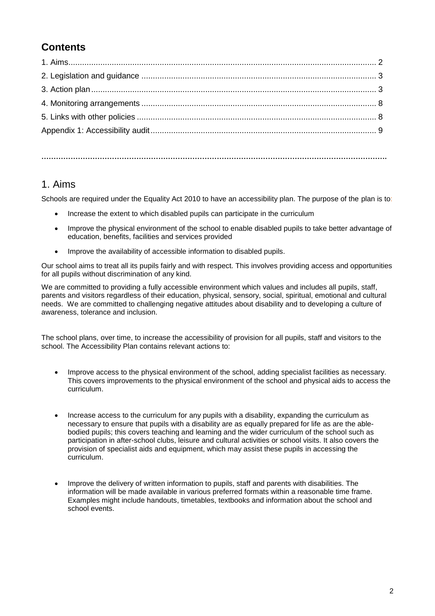# **Contents**

**…………………………………………………………………………………………………………………………….**

#### 1. Aims

Schools are required under the Equality Act 2010 to have an accessibility plan. The purpose of the plan is to:

- Increase the extent to which disabled pupils can participate in the curriculum
- Improve the physical environment of the school to enable disabled pupils to take better advantage of education, benefits, facilities and services provided
- Improve the availability of accessible information to disabled pupils.

Our school aims to treat all its pupils fairly and with respect. This involves providing access and opportunities for all pupils without discrimination of any kind.

We are committed to providing a fully accessible environment which values and includes all pupils, staff, parents and visitors regardless of their education, physical, sensory, social, spiritual, emotional and cultural needs. We are committed to challenging negative attitudes about disability and to developing a culture of awareness, tolerance and inclusion.

The school plans, over time, to increase the accessibility of provision for all pupils, staff and visitors to the school. The Accessibility Plan contains relevant actions to:

- Improve access to the physical environment of the school, adding specialist facilities as necessary. This covers improvements to the physical environment of the school and physical aids to access the curriculum.
- Increase access to the curriculum for any pupils with a disability, expanding the curriculum as necessary to ensure that pupils with a disability are as equally prepared for life as are the ablebodied pupils; this covers teaching and learning and the wider curriculum of the school such as participation in after-school clubs, leisure and cultural activities or school visits. It also covers the provision of specialist aids and equipment, which may assist these pupils in accessing the curriculum.
- Improve the delivery of written information to pupils, staff and parents with disabilities. The information will be made available in various preferred formats within a reasonable time frame. Examples might include handouts, timetables, textbooks and information about the school and school events.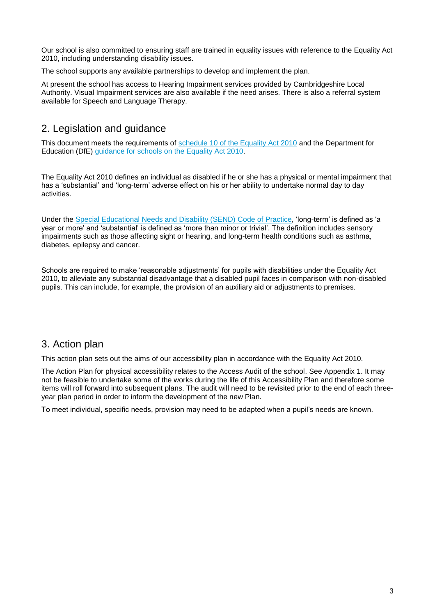Our school is also committed to ensuring staff are trained in equality issues with reference to the Equality Act 2010, including understanding disability issues.

The school supports any available partnerships to develop and implement the plan.

At present the school has access to Hearing Impairment services provided by Cambridgeshire Local Authority. Visual Impairment services are also available if the need arises. There is also a referral system available for Speech and Language Therapy.

## 2. Legislation and guidance

This document meets the requirements of [schedule 10 of the Equality Act 2010](http://www.legislation.gov.uk/ukpga/2010/15/schedule/10) and the Department for Education (DfE) [guidance for schools on the Equality Act 2010.](https://www.gov.uk/government/publications/equality-act-2010-advice-for-schools)

The Equality Act 2010 defines an individual as disabled if he or she has a physical or mental impairment that has a 'substantial' and 'long-term' adverse effect on his or her ability to undertake normal day to day activities.

Under the [Special Educational Needs and Disability \(SEND\) Code of Practice,](https://www.gov.uk/government/publications/send-code-of-practice-0-to-25) 'long-term' is defined as 'a year or more' and 'substantial' is defined as 'more than minor or trivial'. The definition includes sensory impairments such as those affecting sight or hearing, and long-term health conditions such as asthma, diabetes, epilepsy and cancer.

Schools are required to make 'reasonable adjustments' for pupils with disabilities under the Equality Act 2010, to alleviate any substantial disadvantage that a disabled pupil faces in comparison with non-disabled pupils. This can include, for example, the provision of an auxiliary aid or adjustments to premises.

#### 3. Action plan

This action plan sets out the aims of our accessibility plan in accordance with the Equality Act 2010.

The Action Plan for physical accessibility relates to the Access Audit of the school. See Appendix 1. It may not be feasible to undertake some of the works during the life of this Accessibility Plan and therefore some items will roll forward into subsequent plans. The audit will need to be revisited prior to the end of each threeyear plan period in order to inform the development of the new Plan.

To meet individual, specific needs, provision may need to be adapted when a pupil's needs are known.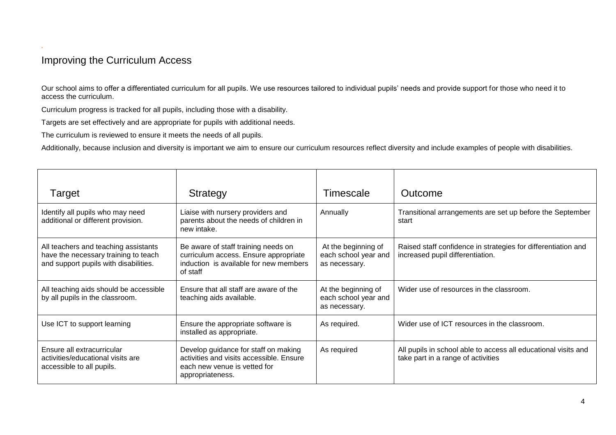## Improving the Curriculum Access

*.*

Our school aims to offer a differentiated curriculum for all pupils. We use resources tailored to individual pupils' needs and provide support for those who need it to access the curriculum.

Curriculum progress is tracked for all pupils, including those with a disability.

Targets are set effectively and are appropriate for pupils with additional needs.

The curriculum is reviewed to ensure it meets the needs of all pupils.

Additionally, because inclusion and diversity is important we aim to ensure our curriculum resources reflect diversity and include examples of people with disabilities.

| Target                                                                                                                | Strategy                                                                                                                             | Timescale                                                    | Outcome                                                                                              |
|-----------------------------------------------------------------------------------------------------------------------|--------------------------------------------------------------------------------------------------------------------------------------|--------------------------------------------------------------|------------------------------------------------------------------------------------------------------|
| Identify all pupils who may need<br>additional or different provision.                                                | Liaise with nursery providers and<br>parents about the needs of children in<br>new intake.                                           | Annually                                                     | Transitional arrangements are set up before the September<br>start                                   |
| All teachers and teaching assistants<br>have the necessary training to teach<br>and support pupils with disabilities. | Be aware of staff training needs on<br>curriculum access. Ensure appropriate<br>induction is available for new members<br>of staff   | At the beginning of<br>each school year and<br>as necessary. | Raised staff confidence in strategies for differentiation and<br>increased pupil differentiation.    |
| All teaching aids should be accessible<br>by all pupils in the classroom.                                             | Ensure that all staff are aware of the<br>teaching aids available.                                                                   | At the beginning of<br>each school year and<br>as necessary. | Wider use of resources in the classroom.                                                             |
| Use ICT to support learning                                                                                           | Ensure the appropriate software is<br>installed as appropriate.                                                                      | As required.                                                 | Wider use of ICT resources in the classroom.                                                         |
| Ensure all extracurricular<br>activities/educational visits are<br>accessible to all pupils.                          | Develop guidance for staff on making<br>activities and visits accessible. Ensure<br>each new venue is vetted for<br>appropriateness. | As required                                                  | All pupils in school able to access all educational visits and<br>take part in a range of activities |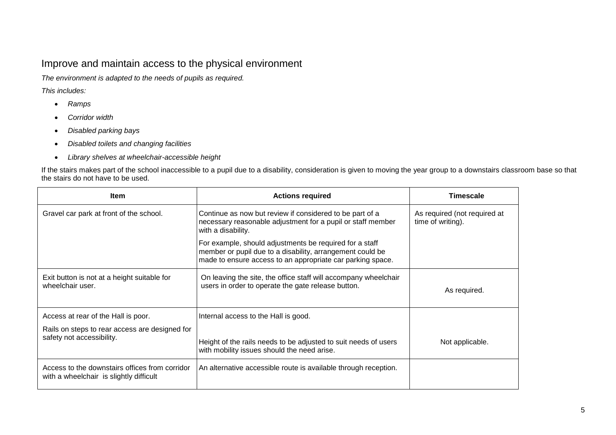### Improve and maintain access to the physical environment

*The environment is adapted to the needs of pupils as required.*

*This includes:*

- *Ramps*
- *Corridor width*
- *Disabled parking bays*
- *Disabled toilets and changing facilities*
- *Library shelves at wheelchair-accessible height*

If the stairs makes part of the school inaccessible to a pupil due to a disability, consideration is given to moving the year group to a downstairs classroom base so that the stairs do not have to be used.

| <b>Item</b>                                                                               | <b>Actions required</b>                                                                                                                                                            | Timescale                                         |
|-------------------------------------------------------------------------------------------|------------------------------------------------------------------------------------------------------------------------------------------------------------------------------------|---------------------------------------------------|
| Gravel car park at front of the school.                                                   | Continue as now but review if considered to be part of a<br>necessary reasonable adjustment for a pupil or staff member<br>with a disability.                                      | As required (not required at<br>time of writing). |
|                                                                                           | For example, should adjustments be required for a staff<br>member or pupil due to a disability, arrangement could be<br>made to ensure access to an appropriate car parking space. |                                                   |
| Exit button is not at a height suitable for<br>wheelchair user.                           | On leaving the site, the office staff will accompany wheelchair<br>users in order to operate the gate release button.                                                              | As required.                                      |
| Access at rear of the Hall is poor.                                                       | Internal access to the Hall is good.                                                                                                                                               |                                                   |
| Rails on steps to rear access are designed for<br>safety not accessibility.               | Height of the rails needs to be adjusted to suit needs of users<br>with mobility issues should the need arise.                                                                     | Not applicable.                                   |
| Access to the downstairs offices from corridor<br>with a wheelchair is slightly difficult | An alternative accessible route is available through reception.                                                                                                                    |                                                   |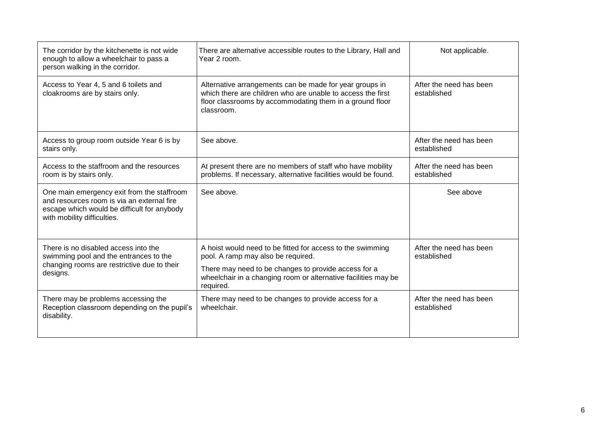| The corridor by the kitchenette is not wide<br>enough to allow a wheelchair to pass a<br>person walking in the corridor.                                               | There are alternative accessible routes to the Library, Hall and<br>Year 2 room.                                                                                                                 | Not applicable.                        |
|------------------------------------------------------------------------------------------------------------------------------------------------------------------------|--------------------------------------------------------------------------------------------------------------------------------------------------------------------------------------------------|----------------------------------------|
| Access to Year 4, 5 and 6 toilets and<br>cloakrooms are by stairs only.                                                                                                | Alternative arrangements can be made for year groups in<br>which there are children who are unable to access the first<br>floor classrooms by accommodating them in a ground floor<br>classroom. | After the need has been<br>established |
| Access to group room outside Year 6 is by<br>stairs only.                                                                                                              | See above.                                                                                                                                                                                       | After the need has been<br>established |
| Access to the staffroom and the resources<br>room is by stairs only.                                                                                                   | At present there are no members of staff who have mobility<br>problems. If necessary, alternative facilities would be found.                                                                     | After the need has been<br>established |
| One main emergency exit from the staffroom<br>and resources room is via an external fire<br>escape which would be difficult for anybody<br>with mobility difficulties. | See above.                                                                                                                                                                                       | See above                              |
| There is no disabled access into the<br>swimming pool and the entrances to the                                                                                         | A hoist would need to be fitted for access to the swimming<br>pool. A ramp may also be required.                                                                                                 | After the need has been<br>established |
| changing rooms are restrictive due to their<br>designs.                                                                                                                | There may need to be changes to provide access for a<br>wheelchair in a changing room or alternative facilities may be<br>required.                                                              |                                        |
| There may be problems accessing the<br>Reception classroom depending on the pupil's<br>disability.                                                                     | There may need to be changes to provide access for a<br>wheelchair.                                                                                                                              | After the need has been<br>established |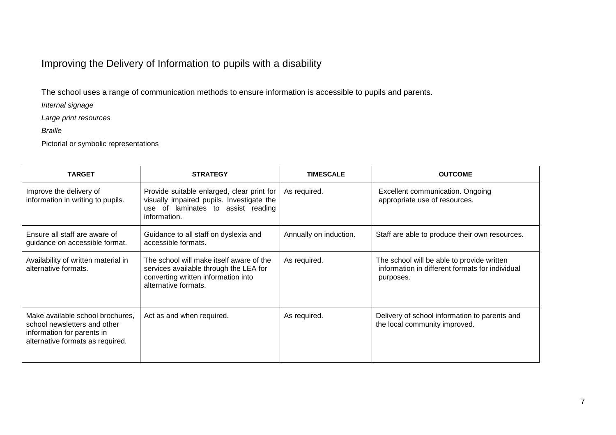# Improving the Delivery of Information to pupils with a disability

The school uses a range of communication methods to ensure information is accessible to pupils and parents.

*Internal signage*

*Large print resources*

*Braille*

Pictorial or symbolic representations

| <b>TARGET</b>                                                                                                                      | <b>STRATEGY</b>                                                                                                                                   | <b>TIMESCALE</b>       | <b>OUTCOME</b>                                                                                             |
|------------------------------------------------------------------------------------------------------------------------------------|---------------------------------------------------------------------------------------------------------------------------------------------------|------------------------|------------------------------------------------------------------------------------------------------------|
| Improve the delivery of<br>information in writing to pupils.                                                                       | Provide suitable enlarged, clear print for<br>visually impaired pupils. Investigate the<br>use of laminates to assist reading<br>information.     | As required.           | Excellent communication. Ongoing<br>appropriate use of resources.                                          |
| Ensure all staff are aware of<br>guidance on accessible format.                                                                    | Guidance to all staff on dyslexia and<br>accessible formats.                                                                                      | Annually on induction. | Staff are able to produce their own resources.                                                             |
| Availability of written material in<br>alternative formats.                                                                        | The school will make itself aware of the<br>services available through the LEA for<br>converting written information into<br>alternative formats. | As required.           | The school will be able to provide written<br>information in different formats for individual<br>purposes. |
| Make available school brochures,<br>school newsletters and other<br>information for parents in<br>alternative formats as required. | Act as and when required.                                                                                                                         | As required.           | Delivery of school information to parents and<br>the local community improved.                             |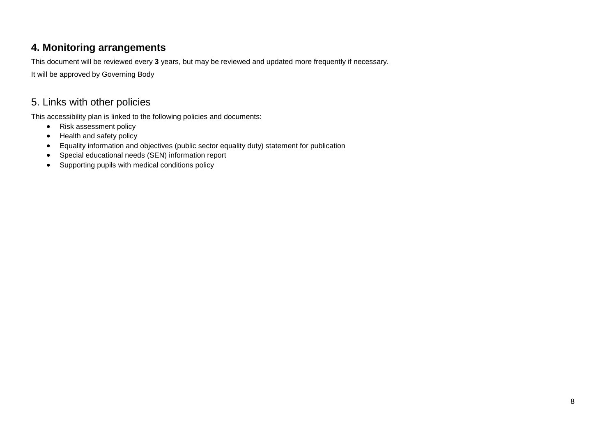## **4. Monitoring arrangements**

This document will be reviewed every **3** years, but may be reviewed and updated more frequently if necessary.

It will be approved by Governing Body

## 5. Links with other policies

This accessibility plan is linked to the following policies and documents:

- Risk assessment policy
- Health and safety policy
- Equality information and objectives (public sector equality duty) statement for publication
- Special educational needs (SEN) information report
- Supporting pupils with medical conditions policy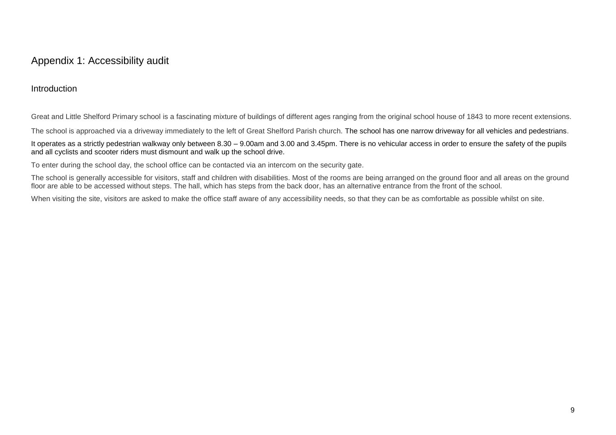#### Appendix 1: Accessibility audit

#### Introduction

Great and Little Shelford Primary school is a fascinating mixture of buildings of different ages ranging from the original school house of 1843 to more recent extensions.

The school is approached via a driveway immediately to the left of Great Shelford Parish church. The school has one narrow driveway for all vehicles and pedestrians.

It operates as a strictly pedestrian walkway only between 8.30 – 9.00am and 3.00 and 3.45pm. There is no vehicular access in order to ensure the safety of the pupils and all cyclists and scooter riders must dismount and walk up the school drive.

To enter during the school day, the school office can be contacted via an intercom on the security gate.

The school is generally accessible for visitors, staff and children with disabilities. Most of the rooms are being arranged on the ground floor and all areas on the ground floor are able to be accessed without steps. The hall, which has steps from the back door, has an alternative entrance from the front of the school.

When visiting the site, visitors are asked to make the office staff aware of any accessibility needs, so that they can be as comfortable as possible whilst on site.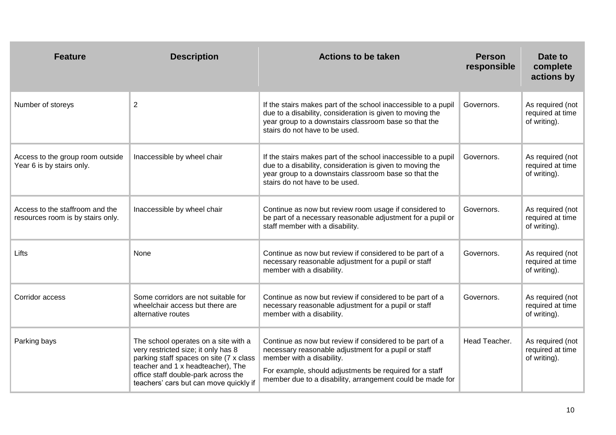| <b>Feature</b>                                                       | <b>Description</b>                                                                                                                                                                                                                           | <b>Actions to be taken</b>                                                                                                                                                                                                                                            | <b>Person</b><br>responsible | Date to<br>complete<br>actions by                    |
|----------------------------------------------------------------------|----------------------------------------------------------------------------------------------------------------------------------------------------------------------------------------------------------------------------------------------|-----------------------------------------------------------------------------------------------------------------------------------------------------------------------------------------------------------------------------------------------------------------------|------------------------------|------------------------------------------------------|
| Number of storeys                                                    | $\overline{2}$                                                                                                                                                                                                                               | If the stairs makes part of the school inaccessible to a pupil<br>due to a disability, consideration is given to moving the<br>year group to a downstairs classroom base so that the<br>stairs do not have to be used.                                                | Governors.                   | As required (not<br>required at time<br>of writing). |
| Access to the group room outside<br>Year 6 is by stairs only.        | Inaccessible by wheel chair                                                                                                                                                                                                                  | If the stairs makes part of the school inaccessible to a pupil<br>due to a disability, consideration is given to moving the<br>year group to a downstairs classroom base so that the<br>stairs do not have to be used.                                                | Governors.                   | As required (not<br>required at time<br>of writing). |
| Access to the staffroom and the<br>resources room is by stairs only. | Inaccessible by wheel chair                                                                                                                                                                                                                  | Continue as now but review room usage if considered to<br>be part of a necessary reasonable adjustment for a pupil or<br>staff member with a disability.                                                                                                              | Governors.                   | As required (not<br>required at time<br>of writing). |
| Lifts                                                                | None                                                                                                                                                                                                                                         | Continue as now but review if considered to be part of a<br>necessary reasonable adjustment for a pupil or staff<br>member with a disability.                                                                                                                         | Governors.                   | As required (not<br>required at time<br>of writing). |
| Corridor access                                                      | Some corridors are not suitable for<br>wheelchair access but there are<br>alternative routes                                                                                                                                                 | Continue as now but review if considered to be part of a<br>necessary reasonable adjustment for a pupil or staff<br>member with a disability.                                                                                                                         | Governors.                   | As required (not<br>required at time<br>of writing). |
| Parking bays                                                         | The school operates on a site with a<br>very restricted size; it only has 8<br>parking staff spaces on site (7 x class<br>teacher and 1 x headteacher), The<br>office staff double-park across the<br>teachers' cars but can move quickly if | Continue as now but review if considered to be part of a<br>necessary reasonable adjustment for a pupil or staff<br>member with a disability.<br>For example, should adjustments be required for a staff<br>member due to a disability, arrangement could be made for | Head Teacher.                | As required (not<br>required at time<br>of writing). |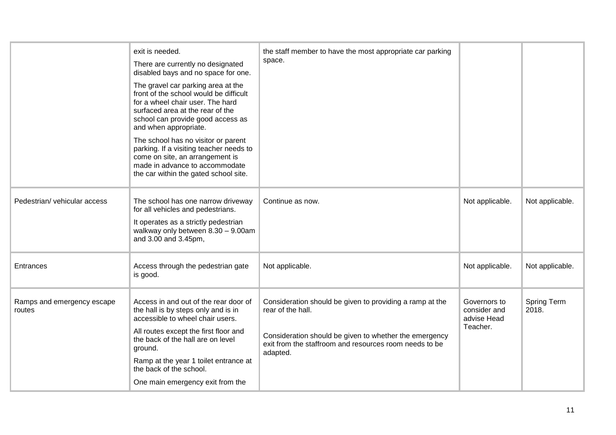|                                      | exit is needed.<br>There are currently no designated<br>disabled bays and no space for one.<br>The gravel car parking area at the<br>front of the school would be difficult<br>for a wheel chair user. The hard<br>surfaced area at the rear of the<br>school can provide good access as<br>and when appropriate.<br>The school has no visitor or parent<br>parking. If a visiting teacher needs to<br>come on site, an arrangement is<br>made in advance to accommodate<br>the car within the gated school site. | the staff member to have the most appropriate car parking<br>space.                                                                                                                                           |                                                         |                      |
|--------------------------------------|-------------------------------------------------------------------------------------------------------------------------------------------------------------------------------------------------------------------------------------------------------------------------------------------------------------------------------------------------------------------------------------------------------------------------------------------------------------------------------------------------------------------|---------------------------------------------------------------------------------------------------------------------------------------------------------------------------------------------------------------|---------------------------------------------------------|----------------------|
| Pedestrian/ vehicular access         | The school has one narrow driveway<br>for all vehicles and pedestrians.<br>It operates as a strictly pedestrian<br>walkway only between 8.30 - 9.00am<br>and 3.00 and 3.45pm,                                                                                                                                                                                                                                                                                                                                     | Continue as now.                                                                                                                                                                                              | Not applicable.                                         | Not applicable.      |
| Entrances                            | Access through the pedestrian gate<br>is good.                                                                                                                                                                                                                                                                                                                                                                                                                                                                    | Not applicable.                                                                                                                                                                                               | Not applicable.                                         | Not applicable.      |
| Ramps and emergency escape<br>routes | Access in and out of the rear door of<br>the hall is by steps only and is in<br>accessible to wheel chair users.<br>All routes except the first floor and<br>the back of the hall are on level<br>ground.<br>Ramp at the year 1 toilet entrance at<br>the back of the school.<br>One main emergency exit from the                                                                                                                                                                                                 | Consideration should be given to providing a ramp at the<br>rear of the hall.<br>Consideration should be given to whether the emergency<br>exit from the staffroom and resources room needs to be<br>adapted. | Governors to<br>consider and<br>advise Head<br>Teacher. | Spring Term<br>2018. |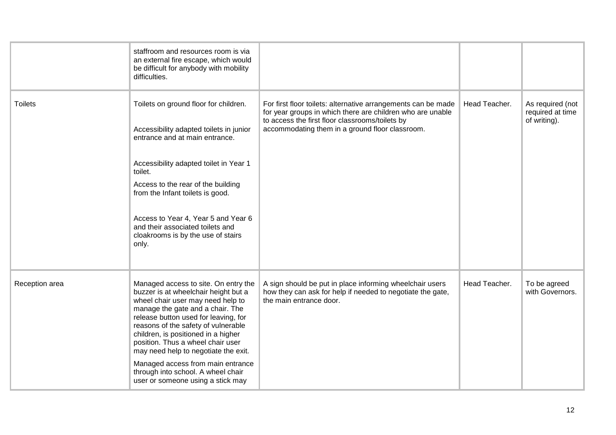|                | staffroom and resources room is via<br>an external fire escape, which would<br>be difficult for anybody with mobility<br>difficulties.                                                                                                                                                                                                                                                                                                                                   |                                                                                                                                                                                                                                   |               |                                                      |
|----------------|--------------------------------------------------------------------------------------------------------------------------------------------------------------------------------------------------------------------------------------------------------------------------------------------------------------------------------------------------------------------------------------------------------------------------------------------------------------------------|-----------------------------------------------------------------------------------------------------------------------------------------------------------------------------------------------------------------------------------|---------------|------------------------------------------------------|
| <b>Toilets</b> | Toilets on ground floor for children.<br>Accessibility adapted toilets in junior<br>entrance and at main entrance.<br>Accessibility adapted toilet in Year 1<br>toilet.<br>Access to the rear of the building<br>from the Infant toilets is good.<br>Access to Year 4, Year 5 and Year 6<br>and their associated toilets and<br>cloakrooms is by the use of stairs<br>only.                                                                                              | For first floor toilets: alternative arrangements can be made<br>for year groups in which there are children who are unable<br>to access the first floor classrooms/toilets by<br>accommodating them in a ground floor classroom. | Head Teacher. | As required (not<br>required at time<br>of writing). |
| Reception area | Managed access to site. On entry the<br>buzzer is at wheelchair height but a<br>wheel chair user may need help to<br>manage the gate and a chair. The<br>release button used for leaving, for<br>reasons of the safety of vulnerable<br>children, is positioned in a higher<br>position. Thus a wheel chair user<br>may need help to negotiate the exit.<br>Managed access from main entrance<br>through into school. A wheel chair<br>user or someone using a stick may | A sign should be put in place informing wheelchair users<br>how they can ask for help if needed to negotiate the gate,<br>the main entrance door.                                                                                 | Head Teacher. | To be agreed<br>with Governors.                      |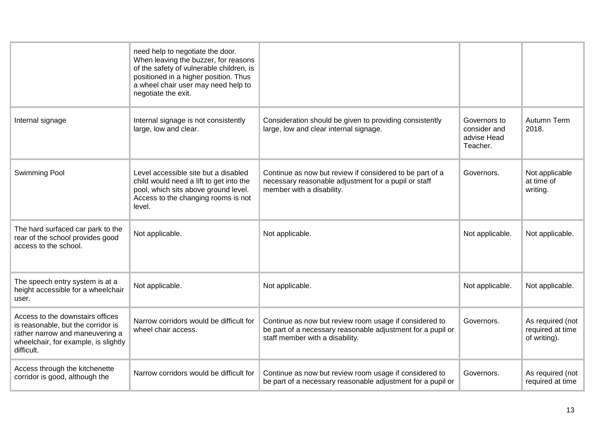|                                                                                                                                                                 | need help to negotiate the door.<br>When leaving the buzzer, for reasons<br>of the safety of vulnerable children, is<br>positioned in a higher position. Thus<br>a wheel chair user may need help to<br>negotiate the exit. |                                                                                                                                                          |                                                         |                                                      |
|-----------------------------------------------------------------------------------------------------------------------------------------------------------------|-----------------------------------------------------------------------------------------------------------------------------------------------------------------------------------------------------------------------------|----------------------------------------------------------------------------------------------------------------------------------------------------------|---------------------------------------------------------|------------------------------------------------------|
| Internal signage                                                                                                                                                | Internal signage is not consistently<br>large, low and clear.                                                                                                                                                               | Consideration should be given to providing consistently<br>large, low and clear internal signage.                                                        | Governors to<br>consider and<br>advise Head<br>Teacher. | Autumn Term<br>2018.                                 |
| <b>Swimming Pool</b>                                                                                                                                            | Level accessible site but a disabled<br>child would need a lift to get into the<br>pool, which sits above ground level.<br>Access to the changing rooms is not<br>level.                                                    | Continue as now but review if considered to be part of a<br>necessary reasonable adjustment for a pupil or staff<br>member with a disability.            | Governors.                                              | Not applicable<br>at time of<br>writing.             |
| The hard surfaced car park to the<br>rear of the school provides good<br>access to the school.                                                                  | Not applicable.                                                                                                                                                                                                             | Not applicable.                                                                                                                                          | Not applicable.                                         | Not applicable.                                      |
| The speech entry system is at a<br>height accessible for a wheelchair<br>user.                                                                                  | Not applicable.                                                                                                                                                                                                             | Not applicable.                                                                                                                                          | Not applicable.                                         | Not applicable.                                      |
| Access to the downstairs offices<br>is reasonable, but the corridor is<br>rather narrow and maneuvering a<br>wheelchair, for example, is slightly<br>difficult. | Narrow corridors would be difficult for<br>wheel chair access.                                                                                                                                                              | Continue as now but review room usage if considered to<br>be part of a necessary reasonable adjustment for a pupil or<br>staff member with a disability. | Governors.                                              | As required (not<br>required at time<br>of writing). |
| Access through the kitchenette<br>corridor is good, although the                                                                                                | Narrow corridors would be difficult for                                                                                                                                                                                     | Continue as now but review room usage if considered to<br>be part of a necessary reasonable adjustment for a pupil or                                    | Governors.                                              | As required (not<br>required at time                 |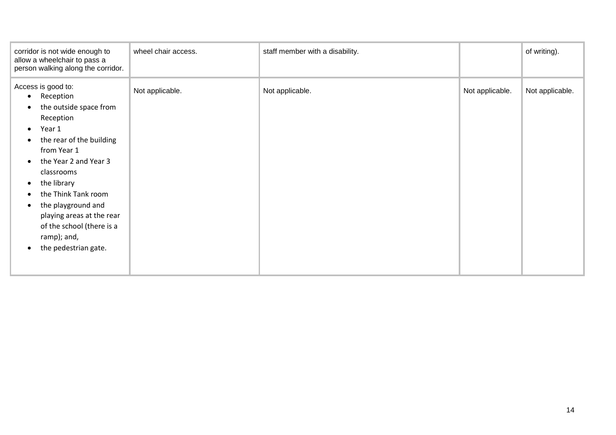| corridor is not wide enough to<br>allow a wheelchair to pass a<br>person walking along the corridor.                                                                                                                                                                                                                                                                   | wheel chair access. | staff member with a disability. |                 | of writing).    |
|------------------------------------------------------------------------------------------------------------------------------------------------------------------------------------------------------------------------------------------------------------------------------------------------------------------------------------------------------------------------|---------------------|---------------------------------|-----------------|-----------------|
| Access is good to:<br>Reception<br>$\bullet$<br>the outside space from<br>Reception<br>Year 1<br>$\bullet$<br>the rear of the building<br>from Year 1<br>the Year 2 and Year 3<br>classrooms<br>the library<br>the Think Tank room<br>the playground and<br>$\bullet$<br>playing areas at the rear<br>of the school (there is a<br>ramp); and,<br>the pedestrian gate. | Not applicable.     | Not applicable.                 | Not applicable. | Not applicable. |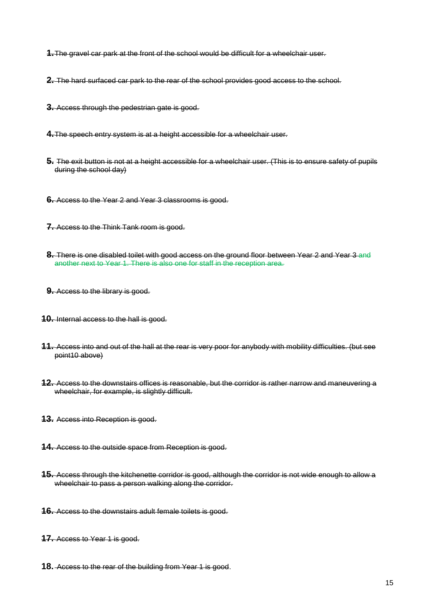- **1.**The gravel car park at the front of the school would be difficult for a wheelchair user.
- **2.** The hard surfaced car park to the rear of the school provides good access to the school.
- **3.** Access through the pedestrian gate is good.
- **4.**The speech entry system is at a height accessible for a wheelchair user.
- **5.** The exit button is not at a height accessible for a wheelchair user. (This is to ensure safety of pupils during the school day)
- **6.** Access to the Year 2 and Year 3 classrooms is good.
- **7.** Access to the Think Tank room is good.
- **8.** There is one disabled toilet with good access on the ground floor between Year 2 and Year 3 and another next to Year 1. There is also one for staff in the reception area.
- **9.** Access to the library is good.
- **10.** Internal access to the hall is good.
- **11.** Access into and out of the hall at the rear is very poor for anybody with mobility difficulties. (but see point10 above)
- **12.** Access to the downstairs offices is reasonable, but the corridor is rather narrow and maneuvering a wheelchair, for example, is slightly difficult.
- **13.** Access into Reception is good.
- **14.** Access to the outside space from Reception is good.
- **15.** Access through the kitchenette corridor is good, although the corridor is not wide enough to allow a wheelchair to pass a person walking along the corridor.
- **16.** Access to the downstairs adult female toilets is good.
- **17.** Access to Year 1 is good.
- **18.** Access to the rear of the building from Year 1 is good.